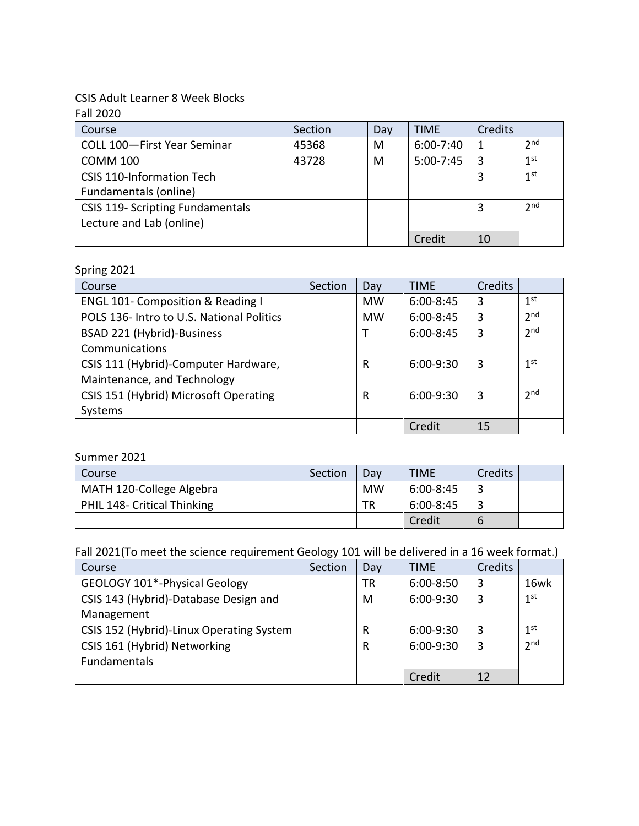## CSIS Adult Learner 8 Week Blocks

| <b>Fall 2020</b>                 |         |     |               |         |                 |
|----------------------------------|---------|-----|---------------|---------|-----------------|
| Course                           | Section | Day | <b>TIME</b>   | Credits |                 |
| COLL 100-First Year Seminar      | 45368   | M   | $6:00 - 7:40$ | 1       | 2 <sub>nd</sub> |
| <b>COMM 100</b>                  | 43728   | M   | $5:00 - 7:45$ | 3       | 1 <sup>st</sup> |
| <b>CSIS 110-Information Tech</b> |         |     |               | 3       | 1 <sup>st</sup> |
| Fundamentals (online)            |         |     |               |         |                 |
| CSIS 119- Scripting Fundamentals |         |     |               | 3       | 2 <sub>nd</sub> |
| Lecture and Lab (online)         |         |     |               |         |                 |
|                                  |         |     | Credit        | 10      |                 |

#### Spring 2021

| Course                                       | Section | Day       | <b>TIME</b>   | Credits |                 |
|----------------------------------------------|---------|-----------|---------------|---------|-----------------|
| <b>ENGL 101- Composition &amp; Reading I</b> |         | <b>MW</b> | $6:00 - 8:45$ | 3       | 1 <sup>st</sup> |
| POLS 136- Intro to U.S. National Politics    |         | <b>MW</b> | $6:00 - 8:45$ | 3       | 2 <sub>nd</sub> |
| BSAD 221 (Hybrid)-Business                   |         | т         | $6:00-8:45$   | 3       | 2 <sub>nd</sub> |
| Communications                               |         |           |               |         |                 |
| CSIS 111 (Hybrid)-Computer Hardware,         |         | R         | $6:00-9:30$   | 3       | 1 <sup>st</sup> |
| Maintenance, and Technology                  |         |           |               |         |                 |
| CSIS 151 (Hybrid) Microsoft Operating        |         | R         | $6:00-9:30$   | 3       | 2 <sub>nd</sub> |
| Systems                                      |         |           |               |         |                 |
|                                              |         |           | Credit        | 15      |                 |

## Summer 2021

| Course                      | Section | Day       | <b>TIME</b> | Credits |  |
|-----------------------------|---------|-----------|-------------|---------|--|
| MATH 120-College Algebra    |         | <b>MW</b> | 6:00-8:45   |         |  |
| PHIL 148- Critical Thinking |         | ТR        | 6:00-8:45   |         |  |
|                             |         |           | Credit      | b       |  |

Fall 2021(To meet the science requirement Geology 101 will be delivered in a 16 week format.)

| Course                                   | Section | Day | TIME          | Credits |                 |
|------------------------------------------|---------|-----|---------------|---------|-----------------|
| GEOLOGY 101*-Physical Geology            |         | TR  | $6:00 - 8:50$ | 3       | 16wk            |
| CSIS 143 (Hybrid)-Database Design and    |         | M   | $6:00-9:30$   | 3       | 1 <sup>st</sup> |
| Management                               |         |     |               |         |                 |
| CSIS 152 (Hybrid)-Linux Operating System |         | R   | 6:00-9:30     | 3       | 1 <sup>st</sup> |
| CSIS 161 (Hybrid) Networking             |         | R   | $6:00-9:30$   | 3       | 2 <sub>nd</sub> |
| Fundamentals                             |         |     |               |         |                 |
|                                          |         |     | Credit        | 12      |                 |